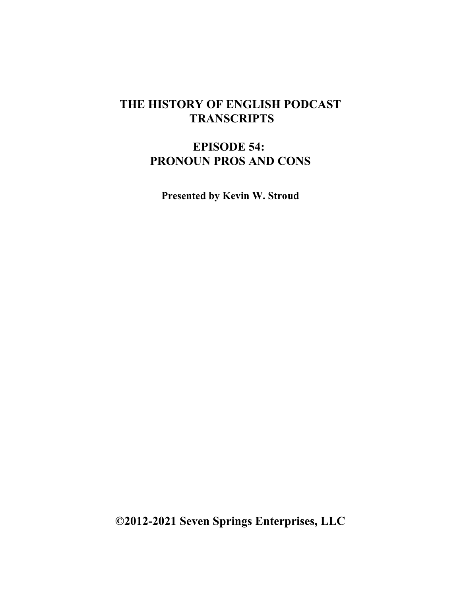## **THE HISTORY OF ENGLISH PODCAST TRANSCRIPTS**

## **EPISODE 54: PRONOUN PROS AND CONS**

**Presented by Kevin W. Stroud**

**©2012-2021 Seven Springs Enterprises, LLC**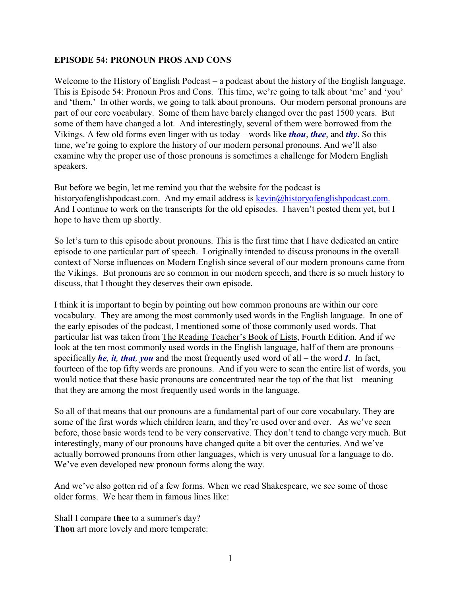## **EPISODE 54: PRONOUN PROS AND CONS**

Welcome to the History of English Podcast – a podcast about the history of the English language. This is Episode 54: Pronoun Pros and Cons. This time, we're going to talk about 'me' and 'you' and 'them.' In other words, we going to talk about pronouns. Our modern personal pronouns are part of our core vocabulary. Some of them have barely changed over the past 1500 years. But some of them have changed a lot. And interestingly, several of them were borrowed from the Vikings. A few old forms even linger with us today – words like *thou*, *thee*, and *thy*. So this time, we're going to explore the history of our modern personal pronouns. And we'll also examine why the proper use of those pronouns is sometimes a challenge for Modern English speakers.

But before we begin, let me remind you that the website for the podcast is historyofenglishpodcast.com. And my email address is [kevin@historyofenglishpodcast.com.](mailto:kevin@historyofenglishpodcast.com.) And I continue to work on the transcripts for the old episodes. I haven't posted them yet, but I hope to have them up shortly.

So let's turn to this episode about pronouns. This is the first time that I have dedicated an entire episode to one particular part of speech. I originally intended to discuss pronouns in the overall context of Norse influences on Modern English since several of our modern pronouns came from the Vikings. But pronouns are so common in our modern speech, and there is so much history to discuss, that I thought they deserves their own episode.

I think it is important to begin by pointing out how common pronouns are within our core vocabulary. They are among the most commonly used words in the English language. In one of the early episodes of the podcast, I mentioned some of those commonly used words. That particular list was taken from The Reading Teacher's Book of Lists, Fourth Edition. And if we look at the ten most commonly used words in the English language, half of them are pronouns – specifically *he, it, that, you* and the most frequently used word of all – the word *I*. In fact, fourteen of the top fifty words are pronouns. And if you were to scan the entire list of words, you would notice that these basic pronouns are concentrated near the top of the that list – meaning that they are among the most frequently used words in the language.

So all of that means that our pronouns are a fundamental part of our core vocabulary. They are some of the first words which children learn, and they're used over and over. As we've seen before, those basic words tend to be very conservative. They don't tend to change very much. But interestingly, many of our pronouns have changed quite a bit over the centuries. And we've actually borrowed pronouns from other languages, which is very unusual for a language to do. We've even developed new pronoun forms along the way.

And we've also gotten rid of a few forms. When we read Shakespeare, we see some of those older forms. We hear them in famous lines like:

Shall I compare **thee** to a summer's day? **Thou** art more lovely and more temperate: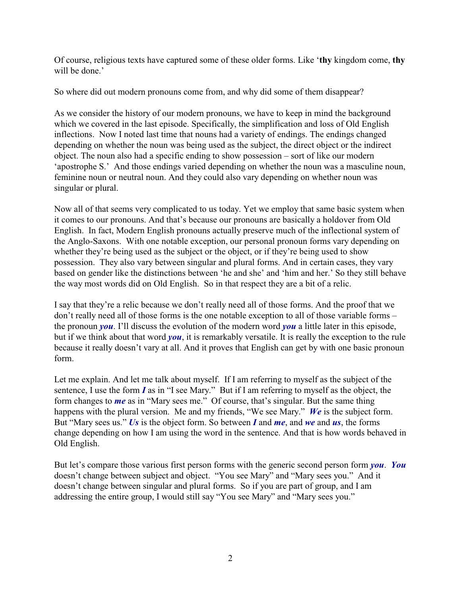Of course, religious texts have captured some of these older forms. Like '**thy** kingdom come, **thy** will be done.'

So where did out modern pronouns come from, and why did some of them disappear?

As we consider the history of our modern pronouns, we have to keep in mind the background which we covered in the last episode. Specifically, the simplification and loss of Old English inflections. Now I noted last time that nouns had a variety of endings. The endings changed depending on whether the noun was being used as the subject, the direct object or the indirect object. The noun also had a specific ending to show possession – sort of like our modern 'apostrophe S.' And those endings varied depending on whether the noun was a masculine noun, feminine noun or neutral noun. And they could also vary depending on whether noun was singular or plural.

Now all of that seems very complicated to us today. Yet we employ that same basic system when it comes to our pronouns. And that's because our pronouns are basically a holdover from Old English. In fact, Modern English pronouns actually preserve much of the inflectional system of the Anglo-Saxons. With one notable exception, our personal pronoun forms vary depending on whether they're being used as the subject or the object, or if they're being used to show possession. They also vary between singular and plural forms. And in certain cases, they vary based on gender like the distinctions between 'he and she' and 'him and her.' So they still behave the way most words did on Old English. So in that respect they are a bit of a relic.

I say that they're a relic because we don't really need all of those forms. And the proof that we don't really need all of those forms is the one notable exception to all of those variable forms – the pronoun *you*. I'll discuss the evolution of the modern word *you* a little later in this episode, but if we think about that word *you*, it is remarkably versatile. It is really the exception to the rule because it really doesn't vary at all. And it proves that English can get by with one basic pronoun form.

Let me explain. And let me talk about myself. If I am referring to myself as the subject of the sentence, I use the form *I* as in "I see Mary." But if I am referring to myself as the object, the form changes to *me* as in "Mary sees me." Of course, that's singular. But the same thing happens with the plural version. Me and my friends, "We see Mary." *We* is the subject form. But "Mary sees us." *Us* is the object form. So between *I* and *me*, and *we* and *us*, the forms change depending on how I am using the word in the sentence. And that is how words behaved in Old English.

But let's compare those various first person forms with the generic second person form *you*. *You* doesn't change between subject and object. "You see Mary" and "Mary sees you." And it doesn't change between singular and plural forms. So if you are part of group, and I am addressing the entire group, I would still say "You see Mary" and "Mary sees you."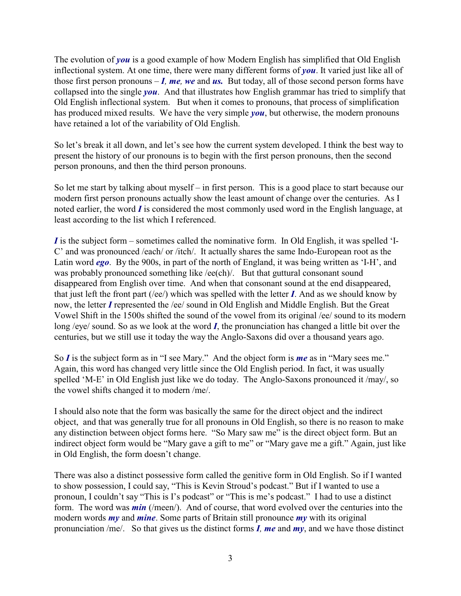The evolution of *you* is a good example of how Modern English has simplified that Old English inflectional system. At one time, there were many different forms of *you*. It varied just like all of those first person pronouns  $-I$ *, me, we* and *us.* But today, all of those second person forms have collapsed into the single *you*. And that illustrates how English grammar has tried to simplify that Old English inflectional system. But when it comes to pronouns, that process of simplification has produced mixed results. We have the very simple *you*, but otherwise, the modern pronouns have retained a lot of the variability of Old English.

So let's break it all down, and let's see how the current system developed. I think the best way to present the history of our pronouns is to begin with the first person pronouns, then the second person pronouns, and then the third person pronouns.

So let me start by talking about myself – in first person. This is a good place to start because our modern first person pronouns actually show the least amount of change over the centuries. As I noted earlier, the word *I* is considered the most commonly used word in the English language, at least according to the list which I referenced.

*I* is the subject form – sometimes called the nominative form. In Old English, it was spelled 'I-C' and was pronounced /each/ or /itch/. It actually shares the same Indo-European root as the Latin word *ego*. By the 900s, in part of the north of England, it was being written as 'I-H', and was probably pronounced something like /ee(ch)/. But that guttural consonant sound disappeared from English over time. And when that consonant sound at the end disappeared, that just left the front part (/ee/) which was spelled with the letter *I*. And as we should know by now, the letter *I* represented the /ee/ sound in Old English and Middle English. But the Great Vowel Shift in the 1500s shifted the sound of the vowel from its original /ee/ sound to its modern long /eye/ sound. So as we look at the word *I*, the pronunciation has changed a little bit over the centuries, but we still use it today the way the Anglo-Saxons did over a thousand years ago.

So *I* is the subject form as in "I see Mary." And the object form is *me* as in "Mary sees me." Again, this word has changed very little since the Old English period. In fact, it was usually spelled 'M-E' in Old English just like we do today. The Anglo-Saxons pronounced it /may/, so the vowel shifts changed it to modern /me/.

I should also note that the form was basically the same for the direct object and the indirect object, and that was generally true for all pronouns in Old English, so there is no reason to make any distinction between object forms here. "So Mary saw me" is the direct object form. But an indirect object form would be "Mary gave a gift to me" or "Mary gave me a gift." Again, just like in Old English, the form doesn't change.

There was also a distinct possessive form called the genitive form in Old English. So if I wanted to show possession, I could say, "This is Kevin Stroud's podcast." But if I wanted to use a pronoun, I couldn't say "This is I's podcast" or "This is me's podcast." I had to use a distinct form. The word was *min* (/meen/). And of course, that word evolved over the centuries into the modern words *my* and *mine*. Some parts of Britain still pronounce *my* with its original pronunciation /me/. So that gives us the distinct forms *I, me* and *my*, and we have those distinct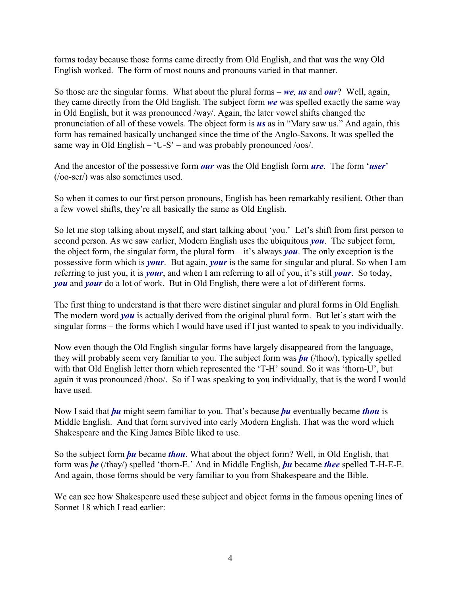forms today because those forms came directly from Old English, and that was the way Old English worked. The form of most nouns and pronouns varied in that manner.

So those are the singular forms. What about the plural forms – *we, us* and *our*? Well, again, they came directly from the Old English. The subject form *we* was spelled exactly the same way in Old English, but it was pronounced /way/. Again, the later vowel shifts changed the pronunciation of all of these vowels. The object form is *us* as in "Mary saw us." And again, this form has remained basically unchanged since the time of the Anglo-Saxons. It was spelled the same way in Old English – 'U-S' – and was probably pronounced  $/$ oos $/$ .

And the ancestor of the possessive form *our* was the Old English form *ure*. The form '*user*' (/oo-ser/) was also sometimes used.

So when it comes to our first person pronouns, English has been remarkably resilient. Other than a few vowel shifts, they're all basically the same as Old English.

So let me stop talking about myself, and start talking about 'you.' Let's shift from first person to second person. As we saw earlier, Modern English uses the ubiquitous *you*. The subject form, the object form, the singular form, the plural form – it's always *you*. The only exception is the possessive form which is *your*. But again, *your* is the same for singular and plural. So when I am referring to just you, it is *your*, and when I am referring to all of you, it's still *your*. So today, *you* and *your* do a lot of work. But in Old English, there were a lot of different forms.

The first thing to understand is that there were distinct singular and plural forms in Old English. The modern word *you* is actually derived from the original plural form. But let's start with the singular forms – the forms which I would have used if I just wanted to speak to you individually.

Now even though the Old English singular forms have largely disappeared from the language, they will probably seem very familiar to you. The subject form was *þu* (/thoo/), typically spelled with that Old English letter thorn which represented the 'T-H' sound. So it was 'thorn-U', but again it was pronounced /thoo/. So if I was speaking to you individually, that is the word I would have used.

Now I said that *þu* might seem familiar to you. That's because *þu* eventually became *thou* is Middle English. And that form survived into early Modern English. That was the word which Shakespeare and the King James Bible liked to use.

So the subject form *þu* became *thou*. What about the object form? Well, in Old English, that form was *þe* (/thay/) spelled 'thorn-E.' And in Middle English, *þu* became *thee* spelled T-H-E-E. And again, those forms should be very familiar to you from Shakespeare and the Bible.

We can see how Shakespeare used these subject and object forms in the famous opening lines of Sonnet 18 which I read earlier: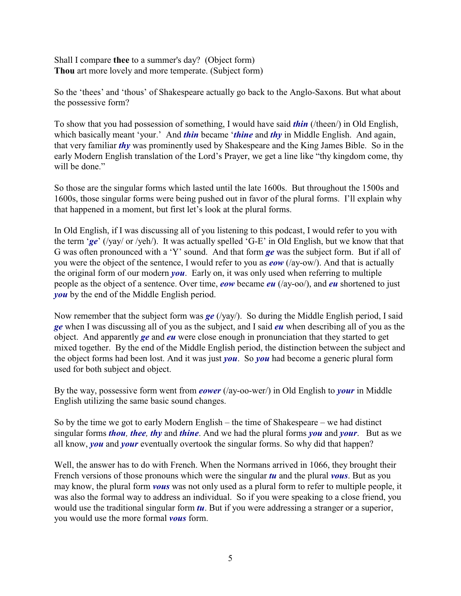Shall I compare **thee** to a summer's day? (Object form) **Thou** art more lovely and more temperate. (Subject form)

So the 'thees' and 'thous' of Shakespeare actually go back to the Anglo-Saxons. But what about the possessive form?

To show that you had possession of something, I would have said *thin* (/theen/) in Old English, which basically meant 'your.' And *thin* became '*thine* and *thy* in Middle English. And again, that very familiar *thy* was prominently used by Shakespeare and the King James Bible. So in the early Modern English translation of the Lord's Prayer, we get a line like "thy kingdom come, thy will be done."

So those are the singular forms which lasted until the late 1600s. But throughout the 1500s and 1600s, those singular forms were being pushed out in favor of the plural forms. I'll explain why that happened in a moment, but first let's look at the plural forms.

In Old English, if I was discussing all of you listening to this podcast, I would refer to you with the term '*ge*' (/yay/ or /yeh/). It was actually spelled 'G-E' in Old English, but we know that that G was often pronounced with a 'Y' sound. And that form *ge* was the subject form. But if all of you were the object of the sentence, I would refer to you as *eow* (/ay-ow/). And that is actually the original form of our modern *you*. Early on, it was only used when referring to multiple people as the object of a sentence. Over time, *eow* became *eu* (/ay-oo/), and *eu* shortened to just *you* by the end of the Middle English period.

Now remember that the subject form was *ge* (/yay/). So during the Middle English period, I said *ge* when I was discussing all of you as the subject, and I said *eu* when describing all of you as the object. And apparently *ge* and *eu* were close enough in pronunciation that they started to get mixed together. By the end of the Middle English period, the distinction between the subject and the object forms had been lost. And it was just *you*. So *you* had become a generic plural form used for both subject and object.

By the way, possessive form went from *eower* (/ay-oo-wer/) in Old English to *your* in Middle English utilizing the same basic sound changes.

So by the time we got to early Modern English – the time of Shakespeare – we had distinct singular forms *thou, thee, thy* and *thine*. And we had the plural forms *you* and *your*. But as we all know, *you* and *your* eventually overtook the singular forms. So why did that happen?

Well, the answer has to do with French. When the Normans arrived in 1066, they brought their French versions of those pronouns which were the singular *tu* and the plural *vous*. But as you may know, the plural form *vous* was not only used as a plural form to refer to multiple people, it was also the formal way to address an individual. So if you were speaking to a close friend, you would use the traditional singular form *tu*. But if you were addressing a stranger or a superior, you would use the more formal *vous* form.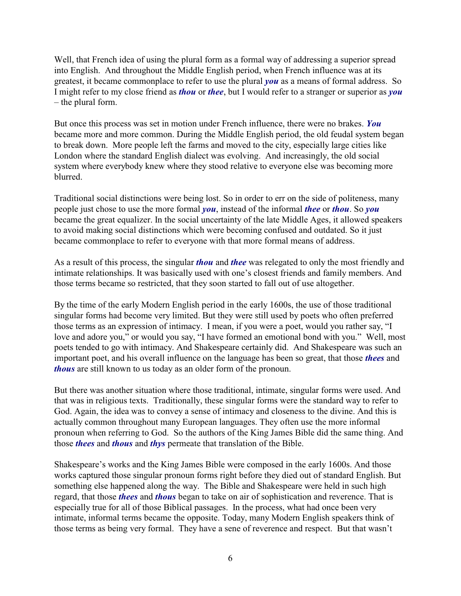Well, that French idea of using the plural form as a formal way of addressing a superior spread into English. And throughout the Middle English period, when French influence was at its greatest, it became commonplace to refer to use the plural *you* as a means of formal address. So I might refer to my close friend as *thou* or *thee*, but I would refer to a stranger or superior as *you* – the plural form.

But once this process was set in motion under French influence, there were no brakes. *You* became more and more common. During the Middle English period, the old feudal system began to break down. More people left the farms and moved to the city, especially large cities like London where the standard English dialect was evolving. And increasingly, the old social system where everybody knew where they stood relative to everyone else was becoming more blurred.

Traditional social distinctions were being lost. So in order to err on the side of politeness, many people just chose to use the more formal *you*, instead of the informal *thee* or *thou*. So *you* became the great equalizer. In the social uncertainty of the late Middle Ages, it allowed speakers to avoid making social distinctions which were becoming confused and outdated. So it just became commonplace to refer to everyone with that more formal means of address.

As a result of this process, the singular *thou* and *thee* was relegated to only the most friendly and intimate relationships. It was basically used with one's closest friends and family members. And those terms became so restricted, that they soon started to fall out of use altogether.

By the time of the early Modern English period in the early 1600s, the use of those traditional singular forms had become very limited. But they were still used by poets who often preferred those terms as an expression of intimacy. I mean, if you were a poet, would you rather say, "I love and adore you," or would you say, "I have formed an emotional bond with you." Well, most poets tended to go with intimacy. And Shakespeare certainly did. And Shakespeare was such an important poet, and his overall influence on the language has been so great, that those *thees* and *thous* are still known to us today as an older form of the pronoun.

But there was another situation where those traditional, intimate, singular forms were used. And that was in religious texts. Traditionally, these singular forms were the standard way to refer to God. Again, the idea was to convey a sense of intimacy and closeness to the divine. And this is actually common throughout many European languages. They often use the more informal pronoun when referring to God. So the authors of the King James Bible did the same thing. And those *thees* and *thous* and *thys* permeate that translation of the Bible.

Shakespeare's works and the King James Bible were composed in the early 1600s. And those works captured those singular pronoun forms right before they died out of standard English. But something else happened along the way. The Bible and Shakespeare were held in such high regard, that those *thees* and *thous* began to take on air of sophistication and reverence. That is especially true for all of those Biblical passages. In the process, what had once been very intimate, informal terms became the opposite. Today, many Modern English speakers think of those terms as being very formal. They have a sene of reverence and respect. But that wasn't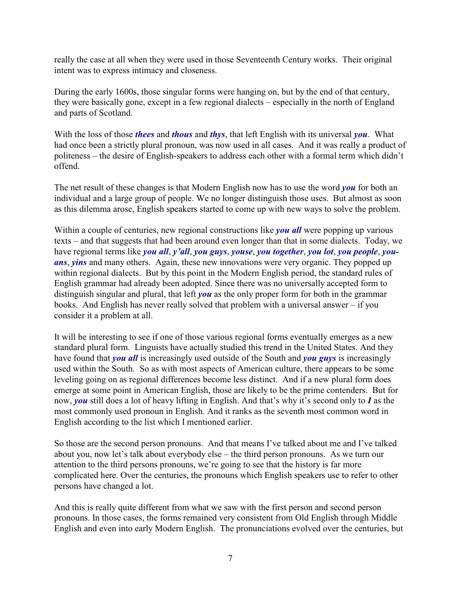really the case at all when they were used in those Seventeenth Century works. Their original intent was to express intimacy and closeness.

During the early 1600s, those singular forms were hanging on, but by the end of that century, they were basically gone, except in a few regional dialects – especially in the north of England and parts of Scotland.

With the loss of those *thees* and *thous* and *thys*, that left English with its universal *you*. What had once been a strictly plural pronoun, was now used in all cases. And it was really a product of politeness – the desire of English-speakers to address each other with a formal term which didn't offend.

The net result of these changes is that Modern English now has to use the word *you* for both an individual and a large group of people. We no longer distinguish those uses. But almost as soon as this dilemma arose, English speakers started to come up with new ways to solve the problem.

Within a couple of centuries, new regional constructions like *you all* were popping up various texts – and that suggests that had been around even longer than that in some dialects. Today, we have regional terms like *you all*, *y'all*, *you guys*, *youse*, *you together*, *you lot*, *you people*, *youans*, *yins* and many others. Again, these new innovations were very organic. They popped up within regional dialects. But by this point in the Modern English period, the standard rules of English grammar had already been adopted. Since there was no universally accepted form to distinguish singular and plural, that left *you* as the only proper form for both in the grammar books. And English has never really solved that problem with a universal answer – if you consider it a problem at all.

It will be interesting to see if one of those various regional forms eventually emerges as a new standard plural form. Linguists have actually studied this trend in the United States. And they have found that *you all* is increasingly used outside of the South and *you guys* is increasingly used within the South. So as with most aspects of American culture, there appears to be some leveling going on as regional differences become less distinct. And if a new plural form does emerge at some point in American English, those are likely to be the prime contenders. But for now, *you* still does a lot of heavy lifting in English. And that's why it's second only to *I* as the most commonly used pronoun in English. And it ranks as the seventh most common word in English according to the list which I mentioned earlier.

So those are the second person pronouns. And that means I've talked about me and I've talked about you, now let's talk about everybody else – the third person pronouns. As we turn our attention to the third persons pronouns, we're going to see that the history is far more complicated here. Over the centuries, the pronouns which English speakers use to refer to other persons have changed a lot.

And this is really quite different from what we saw with the first person and second person pronouns. In those cases, the forms remained very consistent from Old English through Middle English and even into early Modern English. The pronunciations evolved over the centuries, but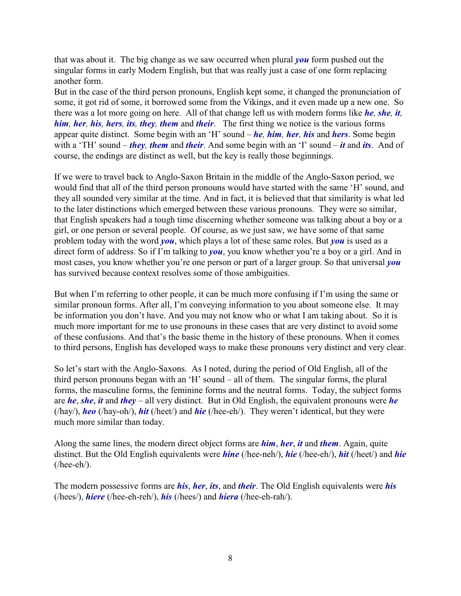that was about it. The big change as we saw occurred when plural *you* form pushed out the singular forms in early Modern English, but that was really just a case of one form replacing another form.

But in the case of the third person pronouns, English kept some, it changed the pronunciation of some, it got rid of some, it borrowed some from the Vikings, and it even made up a new one. So there was a lot more going on here. All of that change left us with modern forms like *he, she, it, him, her, his, hers, its, they, them* and *their*. The first thing we notice is the various forms appear quite distinct. Some begin with an 'H' sound – *he, him, her, his* and *hers*. Some begin with a 'TH' sound – *they, them* and *their*. And some begin with an 'I' sound – *it* and *its*. And of course, the endings are distinct as well, but the key is really those beginnings.

If we were to travel back to Anglo-Saxon Britain in the middle of the Anglo-Saxon period, we would find that all of the third person pronouns would have started with the same 'H' sound, and they all sounded very similar at the time. And in fact, it is believed that that similarity is what led to the later distinctions which emerged between these various pronouns. They were so similar, that English speakers had a tough time discerning whether someone was talking about a boy or a girl, or one person or several people. Of course, as we just saw, we have some of that same problem today with the word *you*, which plays a lot of these same roles. But *you* is used as a direct form of address. So if I'm talking to *you*, you know whether you're a boy or a girl. And in most cases, you know whether you're one person or part of a larger group. So that universal *you* has survived because context resolves some of those ambiguities.

But when I'm referring to other people, it can be much more confusing if I'm using the same or similar pronoun forms. After all, I'm conveying information to you about someone else. It may be information you don't have. And you may not know who or what I am taking about. So it is much more important for me to use pronouns in these cases that are very distinct to avoid some of these confusions. And that's the basic theme in the history of these pronouns. When it comes to third persons, English has developed ways to make these pronouns very distinct and very clear.

So let's start with the Anglo-Saxons. As I noted, during the period of Old English, all of the third person pronouns began with an 'H' sound – all of them. The singular forms, the plural forms, the masculine forms, the feminine forms and the neutral forms. Today, the subject forms are *he*, *she*, *it* and *they* – all very distinct. But in Old English, the equivalent pronouns were *he* (/hay/), *heo* (/hay-oh/), *hit* (/heet/) and *hie* (/hee-eh/). They weren't identical, but they were much more similar than today.

Along the same lines, the modern direct object forms are *him*, *her*, *it* and *them*. Again, quite distinct. But the Old English equivalents were *hine* (/hee-neh/), *hie* (/hee-eh/), *hit* (/heet/) and *hie*  $($ /hee-eh $/$ ).

The modern possessive forms are *his*, *her*, *its*, and *their*. The Old English equivalents were *his* (/hees/), *hiere* (/hee-eh-reh/), *his* (/hees/) and *hiera* (/hee-eh-rah/).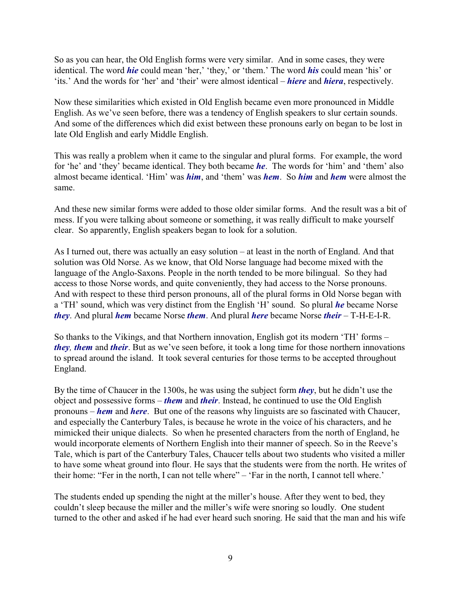So as you can hear, the Old English forms were very similar. And in some cases, they were identical. The word *hie* could mean 'her,' 'they,' or 'them.' The word *his* could mean 'his' or 'its.' And the words for 'her' and 'their' were almost identical – *hiere* and *hiera*, respectively.

Now these similarities which existed in Old English became even more pronounced in Middle English. As we've seen before, there was a tendency of English speakers to slur certain sounds. And some of the differences which did exist between these pronouns early on began to be lost in late Old English and early Middle English.

This was really a problem when it came to the singular and plural forms. For example, the word for 'he' and 'they' became identical. They both became *he*. The words for 'him' and 'them' also almost became identical. 'Him' was *him*, and 'them' was *hem*. So *him* and *hem* were almost the same.

And these new similar forms were added to those older similar forms. And the result was a bit of mess. If you were talking about someone or something, it was really difficult to make yourself clear. So apparently, English speakers began to look for a solution.

As I turned out, there was actually an easy solution – at least in the north of England. And that solution was Old Norse. As we know, that Old Norse language had become mixed with the language of the Anglo-Saxons. People in the north tended to be more bilingual. So they had access to those Norse words, and quite conveniently, they had access to the Norse pronouns. And with respect to these third person pronouns, all of the plural forms in Old Norse began with a 'TH' sound, which was very distinct from the English 'H' sound. So plural *he* became Norse *they*. And plural *hem* became Norse *them*. And plural *here* became Norse *their* – T-H-E-I-R.

So thanks to the Vikings, and that Northern innovation, English got its modern 'TH' forms – *they, them* and *their*. But as we've seen before, it took a long time for those northern innovations to spread around the island. It took several centuries for those terms to be accepted throughout England.

By the time of Chaucer in the 1300s, he was using the subject form *they*, but he didn't use the object and possessive forms – *them* and *their*. Instead, he continued to use the Old English pronouns – *hem* and *here*. But one of the reasons why linguists are so fascinated with Chaucer, and especially the Canterbury Tales, is because he wrote in the voice of his characters, and he mimicked their unique dialects. So when he presented characters from the north of England, he would incorporate elements of Northern English into their manner of speech. So in the Reeve's Tale, which is part of the Canterbury Tales, Chaucer tells about two students who visited a miller to have some wheat ground into flour. He says that the students were from the north. He writes of their home: "Fer in the north, I can not telle where" – 'Far in the north, I cannot tell where.'

The students ended up spending the night at the miller's house. After they went to bed, they couldn't sleep because the miller and the miller's wife were snoring so loudly. One student turned to the other and asked if he had ever heard such snoring. He said that the man and his wife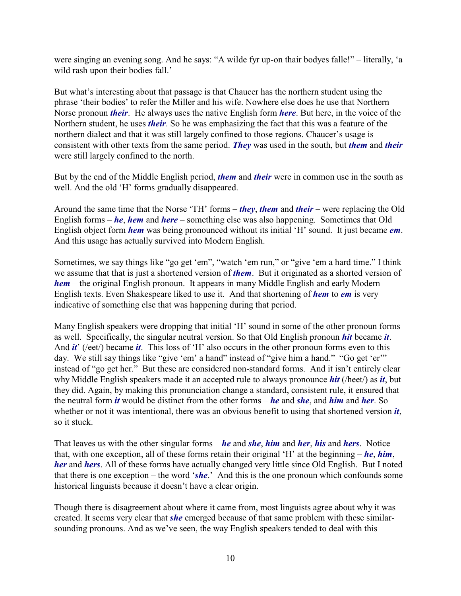were singing an evening song. And he says: "A wilde fyr up-on thair bodyes falle!" – literally, 'a wild rash upon their bodies fall.'

But what's interesting about that passage is that Chaucer has the northern student using the phrase 'their bodies' to refer the Miller and his wife. Nowhere else does he use that Northern Norse pronoun *their*. He always uses the native English form *here*. But here, in the voice of the Northern student, he uses *their*. So he was emphasizing the fact that this was a feature of the northern dialect and that it was still largely confined to those regions. Chaucer's usage is consistent with other texts from the same period. *They* was used in the south, but *them* and *their* were still largely confined to the north.

But by the end of the Middle English period, *them* and *their* were in common use in the south as well. And the old 'H' forms gradually disappeared.

Around the same time that the Norse 'TH' forms – *they*, *them* and *their* – were replacing the Old English forms – *he*, *hem* and *here* – something else was also happening. Sometimes that Old English object form *hem* was being pronounced without its initial 'H' sound. It just became *em*. And this usage has actually survived into Modern English.

Sometimes, we say things like "go get 'em", "watch 'em run," or "give 'em a hard time." I think we assume that that is just a shortened version of *them*. But it originated as a shorted version of *hem* – the original English pronoun. It appears in many Middle English and early Modern English texts. Even Shakespeare liked to use it. And that shortening of *hem* to *em* is very indicative of something else that was happening during that period.

Many English speakers were dropping that initial 'H' sound in some of the other pronoun forms as well. Specifically, the singular neutral version. So that Old English pronoun *hit* became *it*. And *it*' (/eet/) became *it*. This loss of 'H' also occurs in the other pronoun forms even to this day. We still say things like "give 'em' a hand" instead of "give him a hand." "Go get 'er'" instead of "go get her." But these are considered non-standard forms. And it isn't entirely clear why Middle English speakers made it an accepted rule to always pronounce *hit* (/heet/) as *it*, but they did. Again, by making this pronunciation change a standard, consistent rule, it ensured that the neutral form *it* would be distinct from the other forms – *he* and *she*, and *him* and *her*. So whether or not it was intentional, there was an obvious benefit to using that shortened version *it*, so it stuck.

That leaves us with the other singular forms – *he* and *she*, *him* and *her*, *his* and *hers*. Notice that, with one exception, all of these forms retain their original 'H' at the beginning – *he*, *him*, *her* and *hers*. All of these forms have actually changed very little since Old English. But I noted that there is one exception – the word '*she*.' And this is the one pronoun which confounds some historical linguists because it doesn't have a clear origin.

Though there is disagreement about where it came from, most linguists agree about why it was created. It seems very clear that *she* emerged because of that same problem with these similarsounding pronouns. And as we've seen, the way English speakers tended to deal with this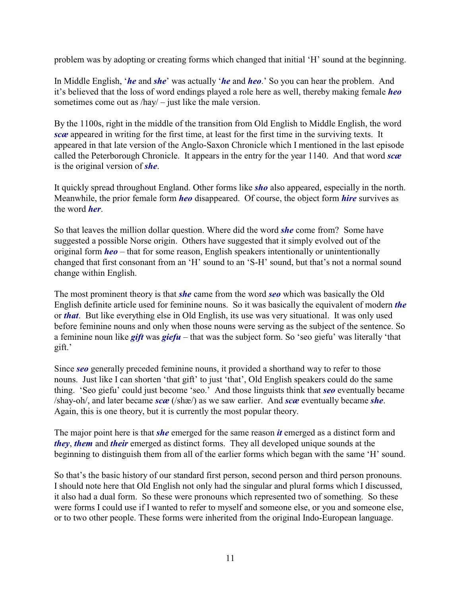problem was by adopting or creating forms which changed that initial 'H' sound at the beginning.

In Middle English, '*he* and *she*' was actually '*he* and *heo*.' So you can hear the problem. And it's believed that the loss of word endings played a role here as well, thereby making female *heo* sometimes come out as /hay/ – just like the male version.

By the 1100s, right in the middle of the transition from Old English to Middle English, the word *scæ* appeared in writing for the first time, at least for the first time in the surviving texts. It appeared in that late version of the Anglo-Saxon Chronicle which I mentioned in the last episode called the Peterborough Chronicle. It appears in the entry for the year 1140. And that word *scæ* is the original version of *she*.

It quickly spread throughout England. Other forms like *sho* also appeared, especially in the north. Meanwhile, the prior female form *heo* disappeared. Of course, the object form *hire* survives as the word *her*.

So that leaves the million dollar question. Where did the word *she* come from? Some have suggested a possible Norse origin. Others have suggested that it simply evolved out of the original form *heo* – that for some reason, English speakers intentionally or unintentionally changed that first consonant from an 'H' sound to an 'S-H' sound, but that's not a normal sound change within English.

The most prominent theory is that *she* came from the word *seo* which was basically the Old English definite article used for feminine nouns. So it was basically the equivalent of modern *the* or *that*. But like everything else in Old English, its use was very situational. It was only used before feminine nouns and only when those nouns were serving as the subject of the sentence. So a feminine noun like *gift* was *giefu* – that was the subject form. So 'seo giefu' was literally 'that gift.'

Since *seo* generally preceded feminine nouns, it provided a shorthand way to refer to those nouns. Just like I can shorten 'that gift' to just 'that', Old English speakers could do the same thing. 'Seo giefu' could just become 'seo.' And those linguists think that *seo* eventually became /shay-oh/, and later became *scæ* (/shæ/) as we saw earlier. And *scæ* eventually became *she*. Again, this is one theory, but it is currently the most popular theory.

The major point here is that *she* emerged for the same reason *it* emerged as a distinct form and *they*, *them* and *their* emerged as distinct forms. They all developed unique sounds at the beginning to distinguish them from all of the earlier forms which began with the same 'H' sound.

So that's the basic history of our standard first person, second person and third person pronouns. I should note here that Old English not only had the singular and plural forms which I discussed, it also had a dual form. So these were pronouns which represented two of something. So these were forms I could use if I wanted to refer to myself and someone else, or you and someone else, or to two other people. These forms were inherited from the original Indo-European language.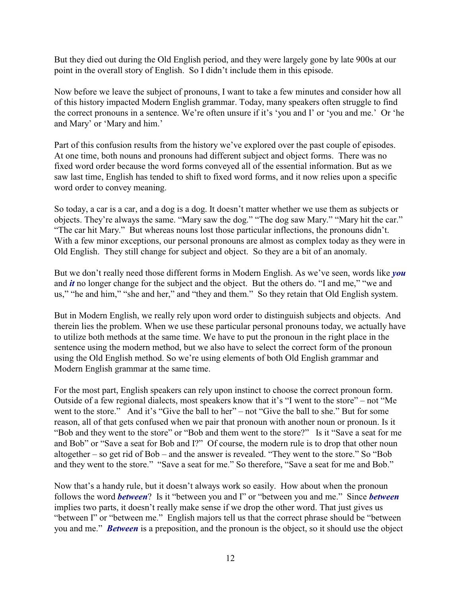But they died out during the Old English period, and they were largely gone by late 900s at our point in the overall story of English. So I didn't include them in this episode.

Now before we leave the subject of pronouns, I want to take a few minutes and consider how all of this history impacted Modern English grammar. Today, many speakers often struggle to find the correct pronouns in a sentence. We're often unsure if it's 'you and I' or 'you and me.' Or 'he and Mary' or 'Mary and him.'

Part of this confusion results from the history we've explored over the past couple of episodes. At one time, both nouns and pronouns had different subject and object forms. There was no fixed word order because the word forms conveyed all of the essential information. But as we saw last time, English has tended to shift to fixed word forms, and it now relies upon a specific word order to convey meaning.

So today, a car is a car, and a dog is a dog. It doesn't matter whether we use them as subjects or objects. They're always the same. "Mary saw the dog." "The dog saw Mary." "Mary hit the car." "The car hit Mary." But whereas nouns lost those particular inflections, the pronouns didn't. With a few minor exceptions, our personal pronouns are almost as complex today as they were in Old English. They still change for subject and object. So they are a bit of an anomaly.

But we don't really need those different forms in Modern English. As we've seen, words like *you* and *it* no longer change for the subject and the object. But the others do. "I and me," "we and us," "he and him," "she and her," and "they and them." So they retain that Old English system.

But in Modern English, we really rely upon word order to distinguish subjects and objects. And therein lies the problem. When we use these particular personal pronouns today, we actually have to utilize both methods at the same time. We have to put the pronoun in the right place in the sentence using the modern method, but we also have to select the correct form of the pronoun using the Old English method. So we're using elements of both Old English grammar and Modern English grammar at the same time.

For the most part, English speakers can rely upon instinct to choose the correct pronoun form. Outside of a few regional dialects, most speakers know that it's "I went to the store" – not "Me went to the store." And it's "Give the ball to her" – not "Give the ball to she." But for some reason, all of that gets confused when we pair that pronoun with another noun or pronoun. Is it "Bob and they went to the store" or "Bob and them went to the store?" Is it "Save a seat for me and Bob" or "Save a seat for Bob and I?" Of course, the modern rule is to drop that other noun altogether – so get rid of Bob – and the answer is revealed. "They went to the store." So "Bob and they went to the store." "Save a seat for me." So therefore, "Save a seat for me and Bob."

Now that's a handy rule, but it doesn't always work so easily. How about when the pronoun follows the word *between*? Is it "between you and I" or "between you and me." Since *between* implies two parts, it doesn't really make sense if we drop the other word. That just gives us "between I" or "between me." English majors tell us that the correct phrase should be "between you and me." *Between* is a preposition, and the pronoun is the object, so it should use the object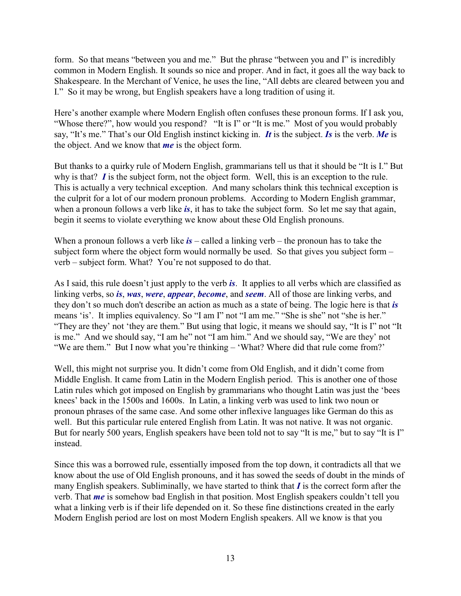form. So that means "between you and me." But the phrase "between you and I" is incredibly common in Modern English. It sounds so nice and proper. And in fact, it goes all the way back to Shakespeare. In the Merchant of Venice, he uses the line, "All debts are cleared between you and I." So it may be wrong, but English speakers have a long tradition of using it.

Here's another example where Modern English often confuses these pronoun forms. If I ask you, "Whose there?", how would you respond? "It is I" or "It is me." Most of you would probably say, "It's me." That's our Old English instinct kicking in. *It* is the subject. *Is* is the verb. *Me* is the object. And we know that *me* is the object form.

But thanks to a quirky rule of Modern English, grammarians tell us that it should be "It is I." But why is that? *I* is the subject form, not the object form. Well, this is an exception to the rule. This is actually a very technical exception. And many scholars think this technical exception is the culprit for a lot of our modern pronoun problems. According to Modern English grammar, when a pronoun follows a verb like *is*, it has to take the subject form. So let me say that again, begin it seems to violate everything we know about these Old English pronouns.

When a pronoun follows a verb like  $is$  – called a linking verb – the pronoun has to take the subject form where the object form would normally be used. So that gives you subject form – verb – subject form. What? You're not supposed to do that.

As I said, this rule doesn't just apply to the verb *is*. It applies to all verbs which are classified as linking verbs, so *is*, *was*, *were*, *appear*, *become*, and *seem*. All of those are linking verbs, and they don't so much don't describe an action as much as a state of being. The logic here is that *is* means 'is'. It implies equivalency. So "I am I" not "I am me." "She is she" not "she is her." "They are they' not 'they are them." But using that logic, it means we should say, "It is I" not "It is me." And we should say, "I am he" not "I am him." And we should say, "We are they' not "We are them." But I now what you're thinking – 'What? Where did that rule come from?'

Well, this might not surprise you. It didn't come from Old English, and it didn't come from Middle English. It came from Latin in the Modern English period. This is another one of those Latin rules which got imposed on English by grammarians who thought Latin was just the 'bees knees' back in the 1500s and 1600s. In Latin, a linking verb was used to link two noun or pronoun phrases of the same case. And some other inflexive languages like German do this as well. But this particular rule entered English from Latin. It was not native. It was not organic. But for nearly 500 years, English speakers have been told not to say "It is me," but to say "It is I" instead.

Since this was a borrowed rule, essentially imposed from the top down, it contradicts all that we know about the use of Old English pronouns, and it has sowed the seeds of doubt in the minds of many English speakers. Subliminally, we have started to think that *I* is the correct form after the verb. That *me* is somehow bad English in that position. Most English speakers couldn't tell you what a linking verb is if their life depended on it. So these fine distinctions created in the early Modern English period are lost on most Modern English speakers. All we know is that you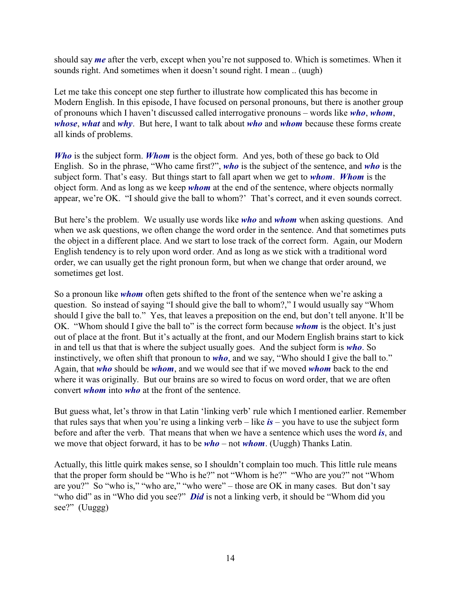should say *me* after the verb, except when you're not supposed to. Which is sometimes. When it sounds right. And sometimes when it doesn't sound right. I mean .. (uugh)

Let me take this concept one step further to illustrate how complicated this has become in Modern English. In this episode, I have focused on personal pronouns, but there is another group of pronouns which I haven't discussed called interrogative pronouns – words like *who*, *whom*, *whose*, *what* and *why*. But here, I want to talk about *who* and *whom* because these forms create all kinds of problems.

*Who* is the subject form. *Whom* is the object form. And yes, both of these go back to Old English. So in the phrase, "Who came first?", *who* is the subject of the sentence, and *who* is the subject form. That's easy. But things start to fall apart when we get to *whom*. *Whom* is the object form. And as long as we keep *whom* at the end of the sentence, where objects normally appear, we're OK. "I should give the ball to whom?' That's correct, and it even sounds correct.

But here's the problem. We usually use words like *who* and *whom* when asking questions. And when we ask questions, we often change the word order in the sentence. And that sometimes puts the object in a different place. And we start to lose track of the correct form. Again, our Modern English tendency is to rely upon word order. And as long as we stick with a traditional word order, we can usually get the right pronoun form, but when we change that order around, we sometimes get lost.

So a pronoun like *whom* often gets shifted to the front of the sentence when we're asking a question. So instead of saying "I should give the ball to whom?," I would usually say "Whom should I give the ball to." Yes, that leaves a preposition on the end, but don't tell anyone. It'll be OK. "Whom should I give the ball to" is the correct form because *whom* is the object. It's just out of place at the front. But it's actually at the front, and our Modern English brains start to kick in and tell us that that is where the subject usually goes. And the subject form is *who*. So instinctively, we often shift that pronoun to *who*, and we say, "Who should I give the ball to." Again, that *who* should be *whom*, and we would see that if we moved *whom* back to the end where it was originally. But our brains are so wired to focus on word order, that we are often convert *whom* into *who* at the front of the sentence.

But guess what, let's throw in that Latin 'linking verb' rule which I mentioned earlier. Remember that rules says that when you're using a linking verb – like *is* – you have to use the subject form before and after the verb. That means that when we have a sentence which uses the word *is*, and we move that object forward, it has to be *who* – not *whom*. (Uuggh) Thanks Latin.

Actually, this little quirk makes sense, so I shouldn't complain too much. This little rule means that the proper form should be "Who is he?" not "Whom is he?" "Who are you?" not "Whom are you?" So "who is," "who are," "who were" – those are OK in many cases. But don't say "who did" as in "Who did you see?" *Did* is not a linking verb, it should be "Whom did you see?" (Uuggg)